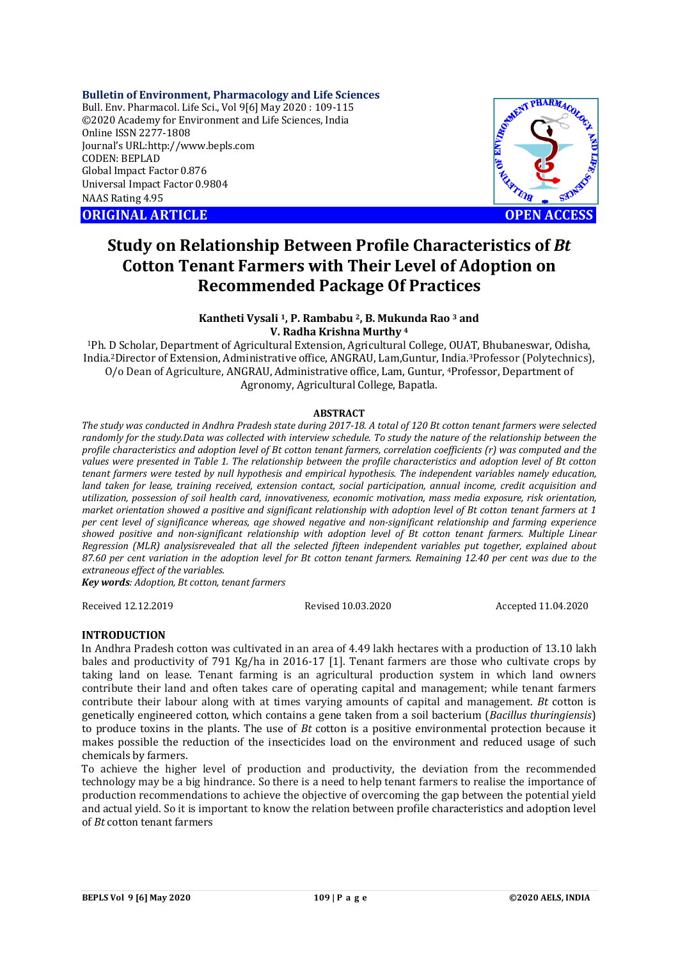## **Bulletin of Environment, Pharmacology and Life Sciences**

Bull. Env. Pharmacol. Life Sci., Vol 9[6] May 2020 : 109-115 ©2020 Academy for Environment and Life Sciences, India Online ISSN 2277-1808 Journal's URL:<http://www.bepls.com> CODEN: BEPLAD Global Impact Factor 0.876 Universal Impact Factor 0.9804 NAAS Rating 4.95

**ORIGINAL ARTICLE** And the contract of the contract of the contract of the contract of the contract of the contract of the contract of the contract of the contract of the contract of the contract of the contract of the con



# **Study on Relationship Between Profile Characteristics of** *Bt*  **Cotton Tenant Farmers with Their Level of Adoption on Recommended Package Of Practices**

## **Kantheti Vysali 1, P. Rambabu 2, B. Mukunda Rao <sup>3</sup> and V. Radha Krishna Murthy <sup>4</sup>**

<sup>1</sup>Ph. D Scholar, Department of Agricultural Extension, Agricultural College, OUAT, Bhubaneswar, Odisha, India.2Director of Extension, Administrative office, ANGRAU, Lam,Guntur, India.3Professor (Polytechnics), O/o Dean of Agriculture, ANGRAU, Administrative office, Lam, Guntur, 4Professor, Department of Agronomy, Agricultural College, Bapatla.

## **ABSTRACT**

*The study was conducted in Andhra Pradesh state during 2017-18. A total of 120 Bt cotton tenant farmers were selected randomly for the study.Data was collected with interview schedule. To study the nature of the relationship between the profile characteristics and adoption level of Bt cotton tenant farmers, correlation coefficients (r) was computed and the values were presented in Table 1. The relationship between the profile characteristics and adoption level of Bt cotton tenant farmers were tested by null hypothesis and empirical hypothesis. The independent variables namely education, land taken for lease, training received, extension contact, social participation, annual income, credit acquisition and utilization, possession of soil health card, innovativeness, economic motivation, mass media exposure, risk orientation, market orientation showed a positive and significant relationship with adoption level of Bt cotton tenant farmers at 1 per cent level of significance whereas, age showed negative and non-significant relationship and farming experience showed positive and non-significant relationship with adoption level of Bt cotton tenant farmers. Multiple Linear Regression (MLR) analysisrevealed that all the selected fifteen independent variables put together, explained about 87.60 per cent variation in the adoption level for Bt cotton tenant farmers. Remaining 12.40 per cent was due to the extraneous effect of the variables.* 

*Key words: Adoption, Bt cotton, tenant farmers*

Received 12.12.2019 Revised 10.03.2020 Accepted 11.04.2020

## **INTRODUCTION**

In Andhra Pradesh cotton was cultivated in an area of 4.49 lakh hectares with a production of 13.10 lakh bales and productivity of 791 Kg/ha in 2016-17 [1]. Tenant farmers are those who cultivate crops by taking land on lease. Tenant farming is an agricultural production system in which land owners contribute their land and often takes care of operating capital and management; while tenant farmers contribute their labour along with at times varying amounts of capital and management. *Bt* cotton is genetically engineered cotton, which contains a gene taken from a soil bacterium (*Bacillus thuringiensis*) to produce toxins in the plants. The use of *Bt* cotton is a positive environmental protection because it makes possible the reduction of the insecticides load on the environment and reduced usage of such chemicals by farmers.

To achieve the higher level of production and productivity, the deviation from the recommended technology may be a big hindrance. So there is a need to help tenant farmers to realise the importance of production recommendations to achieve the objective of overcoming the gap between the potential yield and actual yield. So it is important to know the relation between profile characteristics and adoption level of *Bt* cotton tenant farmers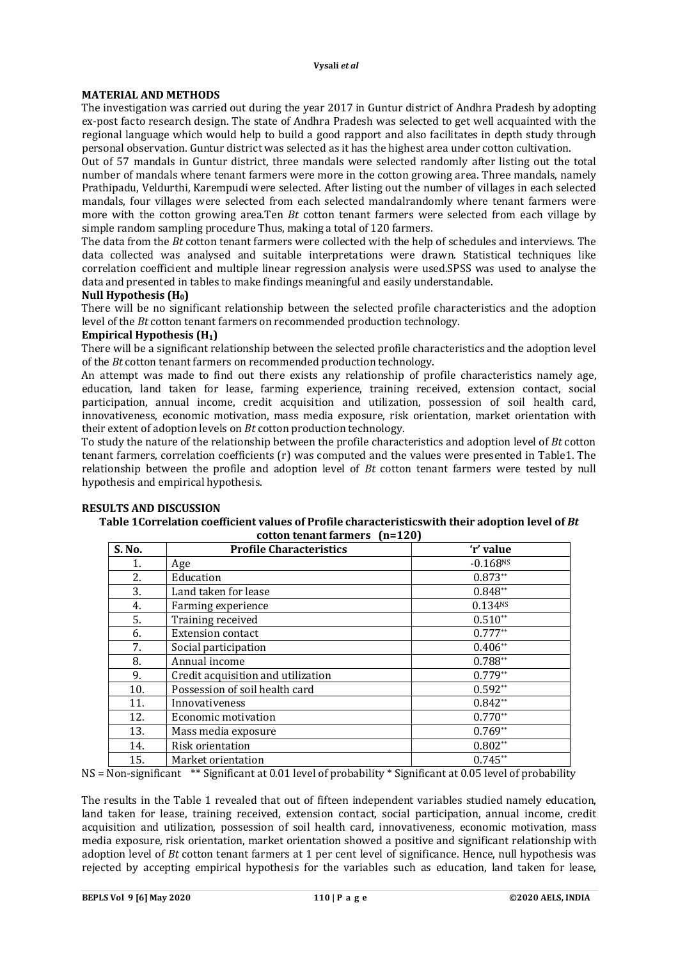## **MATERIAL AND METHODS**

The investigation was carried out during the year 2017 in Guntur district of Andhra Pradesh by adopting ex-post facto research design. The state of Andhra Pradesh was selected to get well acquainted with the regional language which would help to build a good rapport and also facilitates in depth study through personal observation. Guntur district was selected as it has the highest area under cotton cultivation.

Out of 57 mandals in Guntur district, three mandals were selected randomly after listing out the total number of mandals where tenant farmers were more in the cotton growing area. Three mandals, namely Prathipadu, Veldurthi, Karempudi were selected. After listing out the number of villages in each selected mandals, four villages were selected from each selected mandalrandomly where tenant farmers were more with the cotton growing area.Ten *Bt* cotton tenant farmers were selected from each village by simple random sampling procedure Thus, making a total of 120 farmers.

The data from the *Bt* cotton tenant farmers were collected with the help of schedules and interviews. The data collected was analysed and suitable interpretations were drawn. Statistical techniques like correlation coefficient and multiple linear regression analysis were used.SPSS was used to analyse the data and presented in tables to make findings meaningful and easily understandable.

## **Null Hypothesis (H0)**

There will be no significant relationship between the selected profile characteristics and the adoption level of the *Bt* cotton tenant farmers on recommended production technology.

## **Empirical Hypothesis (H1)**

There will be a significant relationship between the selected profile characteristics and the adoption level of the *Bt* cotton tenant farmers on recommended production technology.

An attempt was made to find out there exists any relationship of profile characteristics namely age, education, land taken for lease, farming experience, training received, extension contact, social participation, annual income, credit acquisition and utilization, possession of soil health card, innovativeness, economic motivation, mass media exposure, risk orientation, market orientation with their extent of adoption levels on *Bt* cotton production technology.

To study the nature of the relationship between the profile characteristics and adoption level of *Bt* cotton tenant farmers, correlation coefficients (r) was computed and the values were presented in Table1. The relationship between the profile and adoption level of *Bt* cotton tenant farmers were tested by null hypothesis and empirical hypothesis.

# **RESULTS AND DISCUSSION**

#### **Table 1Correlation coefficient values of Profile characteristicswith their adoption level of** *Bt* **cotton tenant farmers (n=120)**

| S. No. | <b>Profile Characteristics</b>     | 'r' value              |
|--------|------------------------------------|------------------------|
| 1.     | Age                                | $-0.168$ <sup>NS</sup> |
| 2.     | Education                          | $0.873**$              |
| 3.     | Land taken for lease               | $0.848**$              |
| 4.     | Farming experience                 | 0.134 <sub>NS</sub>    |
| 5.     | Training received                  | $0.510**$              |
| 6.     | <b>Extension contact</b>           | $0.777**$              |
| 7.     | Social participation               | $0.406**$              |
| 8.     | Annual income                      | $0.788**$              |
| 9.     | Credit acquisition and utilization | $0.779**$              |
| 10.    | Possession of soil health card     | $0.592**$              |
| 11.    | Innovativeness                     | $0.842**$              |
| 12.    | Economic motivation                | $0.770**$              |
| 13.    | Mass media exposure                | $0.769**$              |
| 14.    | Risk orientation                   | $0.802**$              |
| 15.    | Market orientation                 | $0.745**$              |

NS = Non-significant \*\* Significant at 0.01 level of probability \* Significant at 0.05 level of probability

The results in the Table 1 revealed that out of fifteen independent variables studied namely education, land taken for lease, training received, extension contact, social participation, annual income, credit acquisition and utilization, possession of soil health card, innovativeness, economic motivation, mass media exposure, risk orientation, market orientation showed a positive and significant relationship with adoption level of *Bt* cotton tenant farmers at 1 per cent level of significance. Hence, null hypothesis was rejected by accepting empirical hypothesis for the variables such as education, land taken for lease,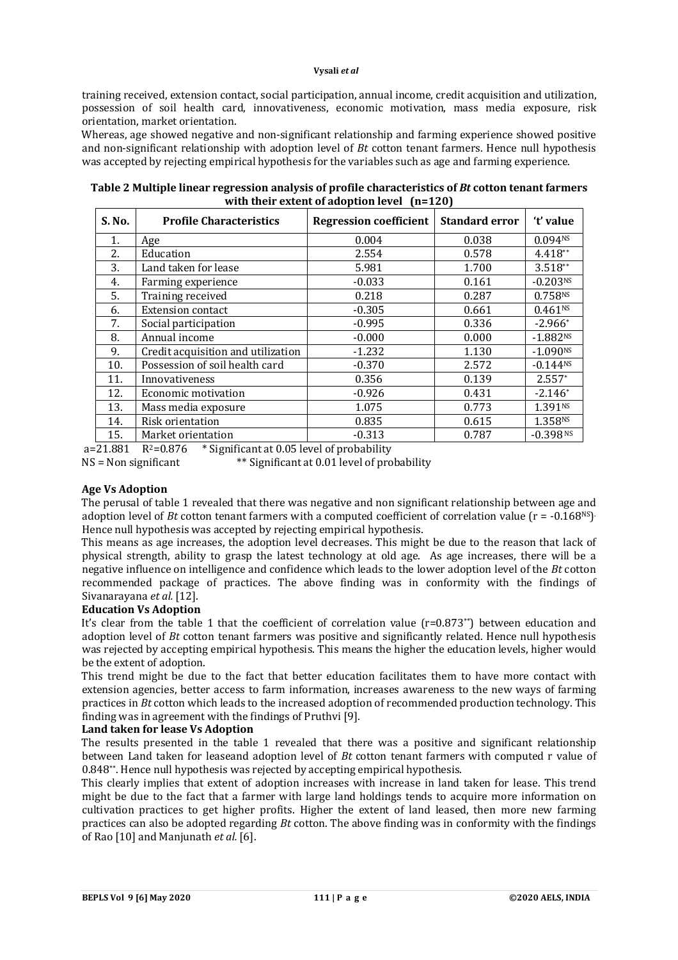training received, extension contact, social participation, annual income, credit acquisition and utilization, possession of soil health card, innovativeness, economic motivation, mass media exposure, risk orientation, market orientation.

Whereas, age showed negative and non-significant relationship and farming experience showed positive and non-significant relationship with adoption level of *Bt* cotton tenant farmers. Hence null hypothesis was accepted by rejecting empirical hypothesis for the variables such as age and farming experience.

**Table 2 Multiple linear regression analysis of profile characteristics of** *Bt* **cotton tenant farmers with their extent of adoption level (n=120)**

| S. No. | <b>Profile Characteristics</b>     | <b>Regression coefficient</b> | <b>Standard error</b> | 't' value              |
|--------|------------------------------------|-------------------------------|-----------------------|------------------------|
| 1.     | Age                                | 0.004                         | 0.038                 | 0.094N <sub>S</sub>    |
| 2.     | Education                          | 2.554                         | 0.578                 | 4.418**                |
| 3.     | Land taken for lease               | 5.981                         | 1.700                 | $3.518**$              |
| 4.     | Farming experience                 | $-0.033$                      | 0.161                 | $-0.203NS$             |
| 5.     | Training received                  | 0.218                         | 0.287                 | 0.758NS                |
| 6.     | <b>Extension contact</b>           | $-0.305$                      | 0.661                 | 0.461 <sup>NS</sup>    |
| 7.     | Social participation               | $-0.995$                      | 0.336                 | $-2.966*$              |
| 8.     | Annual income                      | $-0.000$                      | 0.000                 | $-1.882Ns$             |
| 9.     | Credit acquisition and utilization | $-1.232$                      | 1.130                 | $-1.090$ <sup>NS</sup> |
| 10.    | Possession of soil health card     | $-0.370$                      | 2.572                 | $-0.144^{NS}$          |
| 11.    | Innovativeness                     | 0.356                         | 0.139                 | $2.557*$               |
| 12.    | Economic motivation                | $-0.926$                      | 0.431                 | $-2.146*$              |
| 13.    | Mass media exposure                | 1.075                         | 0.773                 | 1.391 <sup>NS</sup>    |
| 14.    | Risk orientation                   | 0.835                         | 0.615                 | 1.358NS                |
| 15.    | Market orientation                 | $-0.313$                      | 0.787                 | $-0.398$ <sub>NS</sub> |

a=21.881  $R^2=0.876$  \* Significant at 0.05 level of probability  $NS = Non significant$  \*\* Significant at 0.01 level of probability

## **Age Vs Adoption**

The perusal of table 1 revealed that there was negative and non significant relationship between age and adoption level of *Bt* cotton tenant farmers with a computed coefficient of correlation value ( $r = -0.168<sup>NS</sup>$ ) Hence null hypothesis was accepted by rejecting empirical hypothesis.

This means as age increases, the adoption level decreases. This might be due to the reason that lack of physical strength, ability to grasp the latest technology at old age. As age increases, there will be a negative influence on intelligence and confidence which leads to the lower adoption level of the *Bt* cotton recommended package of practices. The above finding was in conformity with the findings of Sivanarayana *et al.* [12].

## **Education Vs Adoption**

It's clear from the table 1 that the coefficient of correlation value (r=0.873\*\*) between education and adoption level of *Bt* cotton tenant farmers was positive and significantly related. Hence null hypothesis was rejected by accepting empirical hypothesis. This means the higher the education levels, higher would be the extent of adoption.

This trend might be due to the fact that better education facilitates them to have more contact with extension agencies, better access to farm information, increases awareness to the new ways of farming practices in *Bt* cotton which leads to the increased adoption of recommended production technology. This finding was in agreement with the findings of Pruthvi [9].

## **Land taken for lease Vs Adoption**

The results presented in the table 1 revealed that there was a positive and significant relationship between Land taken for leaseand adoption level of *Bt* cotton tenant farmers with computed r value of 0.848\*\*. Hence null hypothesis was rejected by accepting empirical hypothesis.

This clearly implies that extent of adoption increases with increase in land taken for lease. This trend might be due to the fact that a farmer with large land holdings tends to acquire more information on cultivation practices to get higher profits. Higher the extent of land leased, then more new farming practices can also be adopted regarding *Bt* cotton. The above finding was in conformity with the findings of Rao [10] and Manjunath *et al.* [6].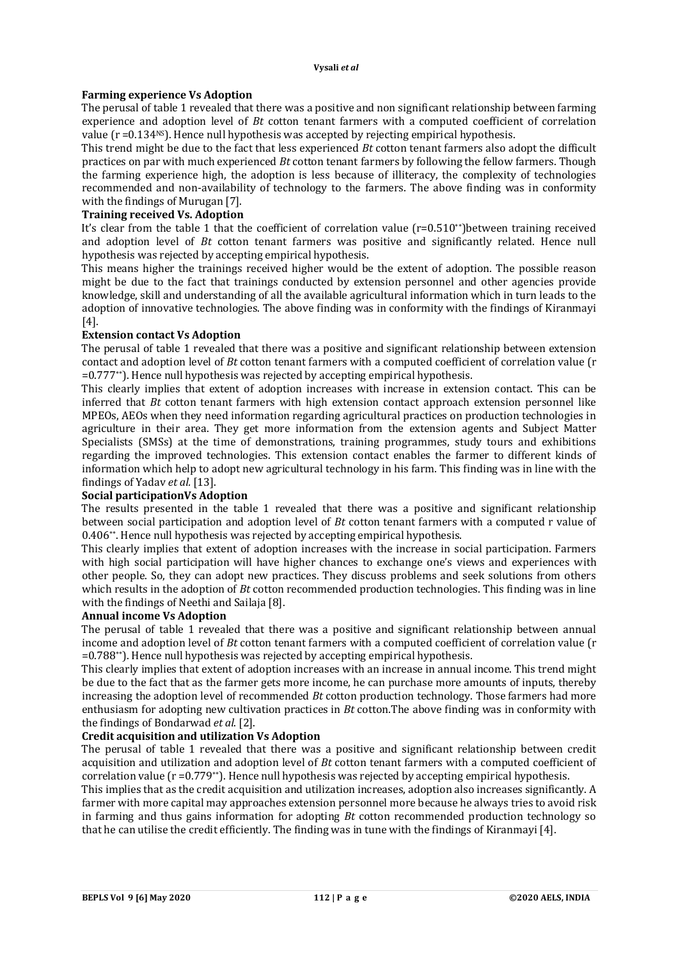## **Farming experience Vs Adoption**

The perusal of table 1 revealed that there was a positive and non significant relationship between farming experience and adoption level of *Bt* cotton tenant farmers with a computed coefficient of correlation value  $(r = 0.134<sup>NS</sup>)$ . Hence null hypothesis was accepted by rejecting empirical hypothesis.

This trend might be due to the fact that less experienced *Bt* cotton tenant farmers also adopt the difficult practices on par with much experienced *Bt* cotton tenant farmers by following the fellow farmers. Though the farming experience high, the adoption is less because of illiteracy, the complexity of technologies recommended and non-availability of technology to the farmers. The above finding was in conformity with the findings of Murugan [7].

## **Training received Vs. Adoption**

It's clear from the table 1 that the coefficient of correlation value (r=0.510\*\*)between training received and adoption level of *Bt* cotton tenant farmers was positive and significantly related. Hence null hypothesis was rejected by accepting empirical hypothesis.

This means higher the trainings received higher would be the extent of adoption. The possible reason might be due to the fact that trainings conducted by extension personnel and other agencies provide knowledge, skill and understanding of all the available agricultural information which in turn leads to the adoption of innovative technologies. The above finding was in conformity with the findings of Kiranmayi [4].

## **Extension contact Vs Adoption**

The perusal of table 1 revealed that there was a positive and significant relationship between extension contact and adoption level of *Bt* cotton tenant farmers with a computed coefficient of correlation value (r =0.777\*\*). Hence null hypothesis was rejected by accepting empirical hypothesis.

This clearly implies that extent of adoption increases with increase in extension contact. This can be inferred that *Bt* cotton tenant farmers with high extension contact approach extension personnel like MPEOs, AEOs when they need information regarding agricultural practices on production technologies in agriculture in their area. They get more information from the extension agents and Subject Matter Specialists (SMSs) at the time of demonstrations, training programmes, study tours and exhibitions regarding the improved technologies. This extension contact enables the farmer to different kinds of information which help to adopt new agricultural technology in his farm. This finding was in line with the findings of Yadav *et al.* [13].

## **Social participationVs Adoption**

The results presented in the table 1 revealed that there was a positive and significant relationship between social participation and adoption level of *Bt* cotton tenant farmers with a computed r value of 0.406\*\*. Hence null hypothesis was rejected by accepting empirical hypothesis.

This clearly implies that extent of adoption increases with the increase in social participation. Farmers with high social participation will have higher chances to exchange one's views and experiences with other people. So, they can adopt new practices. They discuss problems and seek solutions from others which results in the adoption of *Bt* cotton recommended production technologies. This finding was in line with the findings of Neethi and Sailaja [8].

## **Annual income Vs Adoption**

The perusal of table 1 revealed that there was a positive and significant relationship between annual income and adoption level of *Bt* cotton tenant farmers with a computed coefficient of correlation value (r =0.788\*\*). Hence null hypothesis was rejected by accepting empirical hypothesis.

This clearly implies that extent of adoption increases with an increase in annual income. This trend might be due to the fact that as the farmer gets more income, he can purchase more amounts of inputs, thereby increasing the adoption level of recommended *Bt* cotton production technology. Those farmers had more enthusiasm for adopting new cultivation practices in *Bt* cotton.The above finding was in conformity with the findings of Bondarwad *et al*. [2].

# **Credit acquisition and utilization Vs Adoption**

The perusal of table 1 revealed that there was a positive and significant relationship between credit acquisition and utilization and adoption level of *Bt* cotton tenant farmers with a computed coefficient of correlation value ( $r = 0.779**$ ). Hence null hypothesis was rejected by accepting empirical hypothesis.

This implies that as the credit acquisition and utilization increases, adoption also increases significantly. A farmer with more capital may approaches extension personnel more because he always tries to avoid risk in farming and thus gains information for adopting *Bt* cotton recommended production technology so that he can utilise the credit efficiently. The finding was in tune with the findings of Kiranmayi [4].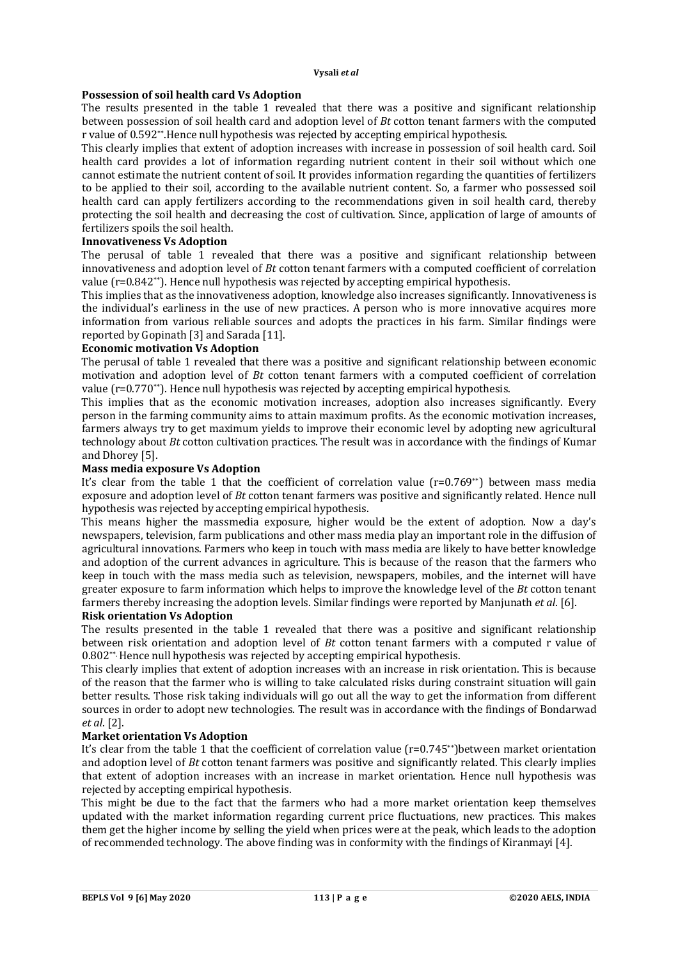## **Possession of soil health card Vs Adoption**

The results presented in the table 1 revealed that there was a positive and significant relationship between possession of soil health card and adoption level of *Bt* cotton tenant farmers with the computed r value of 0.592\*\*.Hence null hypothesis was rejected by accepting empirical hypothesis.

This clearly implies that extent of adoption increases with increase in possession of soil health card. Soil health card provides a lot of information regarding nutrient content in their soil without which one cannot estimate the nutrient content of soil. It provides information regarding the quantities of fertilizers to be applied to their soil, according to the available nutrient content. So, a farmer who possessed soil health card can apply fertilizers according to the recommendations given in soil health card, thereby protecting the soil health and decreasing the cost of cultivation. Since, application of large of amounts of fertilizers spoils the soil health.

## **Innovativeness Vs Adoption**

The perusal of table 1 revealed that there was a positive and significant relationship between innovativeness and adoption level of *Bt* cotton tenant farmers with a computed coefficient of correlation value (r=0.842\*\*). Hence null hypothesis was rejected by accepting empirical hypothesis.

This implies that as the innovativeness adoption, knowledge also increases significantly. Innovativeness is the individual's earliness in the use of new practices. A person who is more innovative acquires more information from various reliable sources and adopts the practices in his farm. Similar findings were reported by Gopinath [3] and Sarada [11].

## **Economic motivation Vs Adoption**

The perusal of table 1 revealed that there was a positive and significant relationship between economic motivation and adoption level of *Bt* cotton tenant farmers with a computed coefficient of correlation value (r=0.770\*\*). Hence null hypothesis was rejected by accepting empirical hypothesis.

This implies that as the economic motivation increases, adoption also increases significantly. Every person in the farming community aims to attain maximum profits. As the economic motivation increases, farmers always try to get maximum yields to improve their economic level by adopting new agricultural technology about *Bt* cotton cultivation practices. The result was in accordance with the findings of Kumar and Dhorey [5].

# **Mass media exposure Vs Adoption**

It's clear from the table 1 that the coefficient of correlation value (r=0.769<sup>\*\*</sup>) between mass media exposure and adoption level of *Bt* cotton tenant farmers was positive and significantly related. Hence null hypothesis was rejected by accepting empirical hypothesis.

This means higher the massmedia exposure, higher would be the extent of adoption. Now a day's newspapers, television, farm publications and other mass media play an important role in the diffusion of agricultural innovations. Farmers who keep in touch with mass media are likely to have better knowledge and adoption of the current advances in agriculture. This is because of the reason that the farmers who keep in touch with the mass media such as television, newspapers, mobiles, and the internet will have greater exposure to farm information which helps to improve the knowledge level of the *Bt* cotton tenant farmers thereby increasing the adoption levels. Similar findings were reported by Manjunath *et al*. [6].

## **Risk orientation Vs Adoption**

The results presented in the table 1 revealed that there was a positive and significant relationship between risk orientation and adoption level of *Bt* cotton tenant farmers with a computed r value of 0.802\*\*. Hence null hypothesis was rejected by accepting empirical hypothesis.

This clearly implies that extent of adoption increases with an increase in risk orientation. This is because of the reason that the farmer who is willing to take calculated risks during constraint situation will gain better results. Those risk taking individuals will go out all the way to get the information from different sources in order to adopt new technologies. The result was in accordance with the findings of Bondarwad *et al*. [2].

## **Market orientation Vs Adoption**

It's clear from the table 1 that the coefficient of correlation value (r=0.745\*\*)between market orientation and adoption level of *Bt* cotton tenant farmers was positive and significantly related. This clearly implies that extent of adoption increases with an increase in market orientation. Hence null hypothesis was rejected by accepting empirical hypothesis.

This might be due to the fact that the farmers who had a more market orientation keep themselves updated with the market information regarding current price fluctuations, new practices. This makes them get the higher income by selling the yield when prices were at the peak, which leads to the adoption of recommended technology. The above finding was in conformity with the findings of Kiranmayi [4].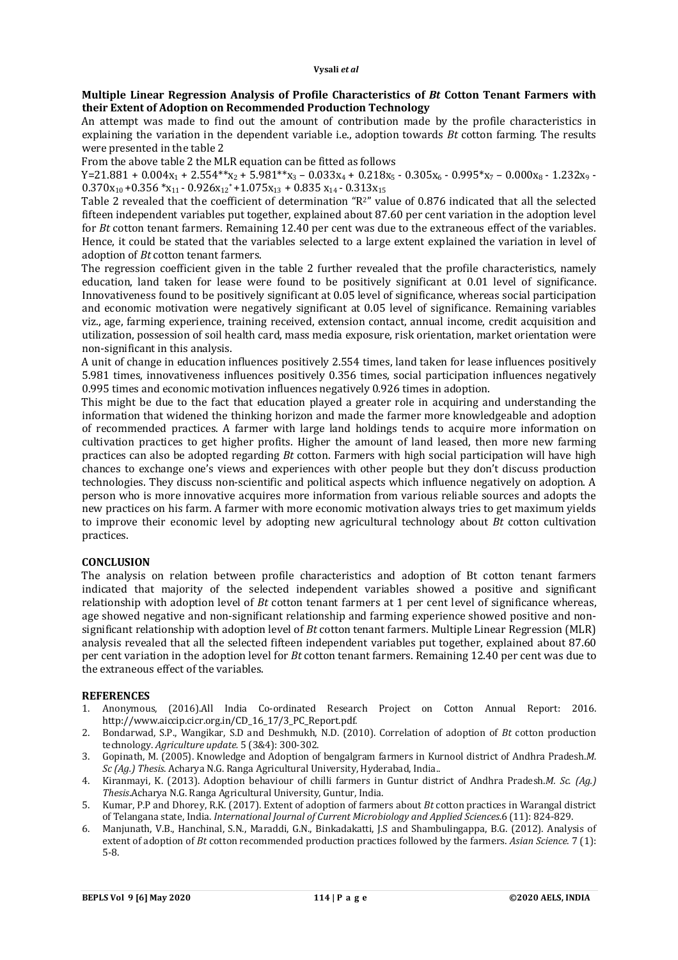## **Multiple Linear Regression Analysis of Profile Characteristics of** *Bt* **Cotton Tenant Farmers with their Extent of Adoption on Recommended Production Technology**

An attempt was made to find out the amount of contribution made by the profile characteristics in explaining the variation in the dependent variable i.e., adoption towards *Bt* cotton farming. The results were presented in the table 2

From the above table 2 the MLR equation can be fitted as follows

 $Y=21.881 + 0.004x_1 + 2.554**x_2 + 5.981**x_3 - 0.033x_4 + 0.218x_5 - 0.305x_6 - 0.995*x_7 - 0.000x_8 - 1.232x_9 - 0.000x_9 - 0.000x_9 - 0.000x_9 - 0.000x_9 - 0.000x_9 - 0.000x_9 - 0.000x_9 - 0.000x_9 - 0.000x_9 - 0.000x_9 - 0.000x_9 - 0.000x_9$  $0.370x_{10} + 0.356 \cdot x_{11} - 0.926x_{12} + 1.075x_{13} + 0.835 x_{14} - 0.313x_{15}$ 

Table 2 revealed that the coefficient of determination "R2" value of 0.876 indicated that all the selected fifteen independent variables put together, explained about 87.60 per cent variation in the adoption level for *Bt* cotton tenant farmers. Remaining 12.40 per cent was due to the extraneous effect of the variables. Hence, it could be stated that the variables selected to a large extent explained the variation in level of adoption of *Bt* cotton tenant farmers.

The regression coefficient given in the table 2 further revealed that the profile characteristics, namely education, land taken for lease were found to be positively significant at 0.01 level of significance. Innovativeness found to be positively significant at 0.05 level of significance, whereas social participation and economic motivation were negatively significant at 0.05 level of significance. Remaining variables viz., age, farming experience, training received, extension contact, annual income, credit acquisition and utilization, possession of soil health card, mass media exposure, risk orientation, market orientation were non-significant in this analysis.

A unit of change in education influences positively 2.554 times, land taken for lease influences positively 5.981 times, innovativeness influences positively 0.356 times, social participation influences negatively 0.995 times and economic motivation influences negatively 0.926 times in adoption.

This might be due to the fact that education played a greater role in acquiring and understanding the information that widened the thinking horizon and made the farmer more knowledgeable and adoption of recommended practices. A farmer with large land holdings tends to acquire more information on cultivation practices to get higher profits. Higher the amount of land leased, then more new farming practices can also be adopted regarding *Bt* cotton. Farmers with high social participation will have high chances to exchange one's views and experiences with other people but they don't discuss production technologies. They discuss non-scientific and political aspects which influence negatively on adoption. A person who is more innovative acquires more information from various reliable sources and adopts the new practices on his farm. A farmer with more economic motivation always tries to get maximum yields to improve their economic level by adopting new agricultural technology about *Bt* cotton cultivation practices.

## **CONCLUSION**

The analysis on relation between profile characteristics and adoption of Bt cotton tenant farmers indicated that majority of the selected independent variables showed a positive and significant relationship with adoption level of *Bt* cotton tenant farmers at 1 per cent level of significance whereas, age showed negative and non-significant relationship and farming experience showed positive and nonsignificant relationship with adoption level of *Bt* cotton tenant farmers. Multiple Linear Regression (MLR) analysis revealed that all the selected fifteen independent variables put together, explained about 87.60 per cent variation in the adoption level for *Bt* cotton tenant farmers. Remaining 12.40 per cent was due to the extraneous effect of the variables.

## **REFERENCES**

- 1. Anonymous, (2016).All India Co-ordinated Research Project on Cotton Annual Report: 2016. [http://www.aiccip.cicr.org.in/CD\\_16\\_17/3\\_PC\\_Report.pdf.](http://www.aiccip.cicr.org.in/CD_16_17/3_PC_Report.pdf.)
- 2. Bondarwad, S.P., Wangikar, S.D and Deshmukh, N.D. (2010). Correlation of adoption of *Bt* cotton production technology. *Agriculture update.* 5 (3&4): 300-302.
- 3. Gopinath, M. (2005). Knowledge and Adoption of bengalgram farmers in Kurnool district of Andhra Pradesh.*M. Sc (Ag.) Thesis*. Acharya N.G. Ranga Agricultural University, Hyderabad, India..
- 4. Kiranmayi, K. (2013). Adoption behaviour of chilli farmers in Guntur district of Andhra Pradesh.*M. Sc. (Ag.) Thesis*.Acharya N.G. Ranga Agricultural University, Guntur, India.
- 5. Kumar, P.P and Dhorey, R.K. (2017). Extent of adoption of farmers about *Bt* cotton practices in Warangal district of Telangana state, India. *International Journal of Current Microbiology and Applied Sciences.*6 (11): 824-829.
- 6. Manjunath, V.B., Hanchinal, S.N., Maraddi, G.N., Binkadakatti, J.S and Shambulingappa, B.G. (2012). Analysis of extent of adoption of *Bt* cotton recommended production practices followed by the farmers. *Asian Science.* 7 (1): 5-8.